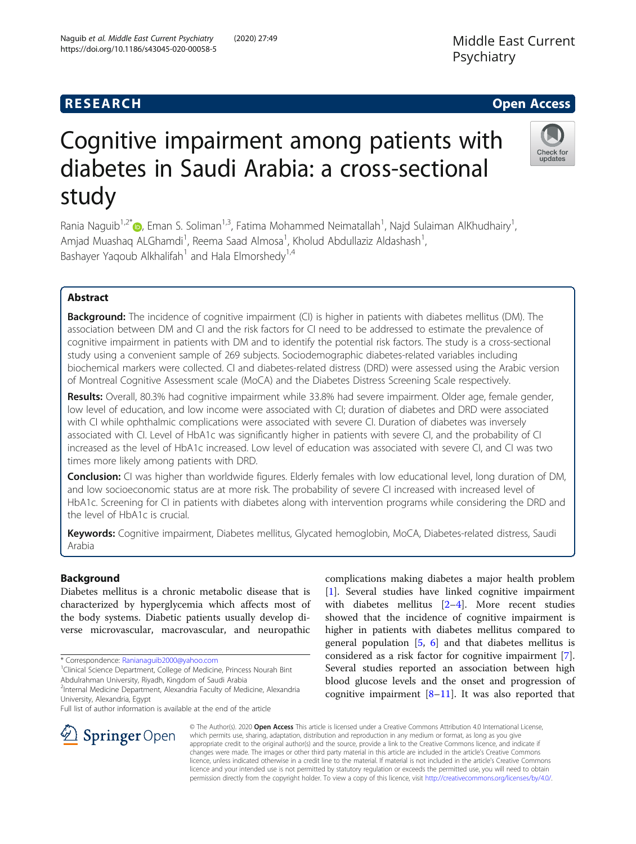# **RESEARCH CHEAR CHEAR CHEAR CHEAR CHEAR CHEAR CHEAR CHEAR CHEAR CHEAR CHEAR CHEAR CHEAR CHEAR CHEAR CHEAR CHEAR**

# Cognitive impairment among patients with diabetes in Saudi Arabia: a cross-sectional study

Rania Naguib<sup>1,2[\\*](https://orcid.org/0000-0003-2176-7182)</sup>®, Eman S. Soliman<sup>1,3</sup>, Fatima Mohammed Neimatallah<sup>1</sup>, Najd Sulaiman AlKhudhairy<sup>1</sup> , Amjad Muashaq ALGhamdi<sup>1</sup>, Reema Saad Almosa<sup>1</sup>, Kholud Abdullaziz Aldashash<sup>1</sup> , Bashayer Yaqoub Alkhalifah<sup>1</sup> and Hala Elmorshedy<sup>1,4</sup>

# Abstract

**Background:** The incidence of cognitive impairment (CI) is higher in patients with diabetes mellitus (DM). The association between DM and CI and the risk factors for CI need to be addressed to estimate the prevalence of cognitive impairment in patients with DM and to identify the potential risk factors. The study is a cross-sectional study using a convenient sample of 269 subjects. Sociodemographic diabetes-related variables including biochemical markers were collected. CI and diabetes-related distress (DRD) were assessed using the Arabic version of Montreal Cognitive Assessment scale (MoCA) and the Diabetes Distress Screening Scale respectively.

Results: Overall, 80.3% had cognitive impairment while 33.8% had severe impairment. Older age, female gender, low level of education, and low income were associated with CI; duration of diabetes and DRD were associated with CI while ophthalmic complications were associated with severe CI. Duration of diabetes was inversely associated with CI. Level of HbA1c was significantly higher in patients with severe CI, and the probability of CI increased as the level of HbA1c increased. Low level of education was associated with severe CI, and CI was two times more likely among patients with DRD.

Conclusion: CI was higher than worldwide figures. Elderly females with low educational level, long duration of DM, and low socioeconomic status are at more risk. The probability of severe CI increased with increased level of HbA1c. Screening for CI in patients with diabetes along with intervention programs while considering the DRD and the level of HbA1c is crucial.

Keywords: Cognitive impairment, Diabetes mellitus, Glycated hemoglobin, MoCA, Diabetes-related distress, Saudi Arabia

### Background

Diabetes mellitus is a chronic metabolic disease that is characterized by hyperglycemia which affects most of the body systems. Diabetic patients usually develop diverse microvascular, macrovascular, and neuropathic

\* Correspondence: [Ranianaguib2000@yahoo.com](mailto:Ranianaguib2000@yahoo.com) <sup>1</sup>

 $\mathscr{L}$  Springer Open

<sup>1</sup> Clinical Science Department, College of Medicine, Princess Nourah Bint

Abdulrahman University, Riyadh, Kingdom of Saudi Arabia

<sup>2</sup>Internal Medicine Department, Alexandria Faculty of Medicine, Alexandria University, Alexandria, Egypt

Full list of author information is available at the end of the article

complications making diabetes a major health problem [[1\]](#page-9-0). Several studies have linked cognitive impairment with diabetes mellitus [\[2](#page-9-0)–[4](#page-9-0)]. More recent studies showed that the incidence of cognitive impairment is higher in patients with diabetes mellitus compared to general population  $[5, 6]$  $[5, 6]$  $[5, 6]$  $[5, 6]$  and that diabetes mellitus is considered as a risk factor for cognitive impairment [\[7](#page-9-0)]. Several studies reported an association between high blood glucose levels and the onset and progression of cognitive impairment  $[8-11]$  $[8-11]$  $[8-11]$  $[8-11]$  $[8-11]$ . It was also reported that

© The Author(s). 2020 Open Access This article is licensed under a Creative Commons Attribution 4.0 International License, which permits use, sharing, adaptation, distribution and reproduction in any medium or format, as long as you give appropriate credit to the original author(s) and the source, provide a link to the Creative Commons licence, and indicate if changes were made. The images or other third party material in this article are included in the article's Creative Commons licence, unless indicated otherwise in a credit line to the material. If material is not included in the article's Creative Commons licence and your intended use is not permitted by statutory regulation or exceeds the permitted use, you will need to obtain permission directly from the copyright holder. To view a copy of this licence, visit <http://creativecommons.org/licenses/by/4.0/>.

Psychiatry





Middle East Current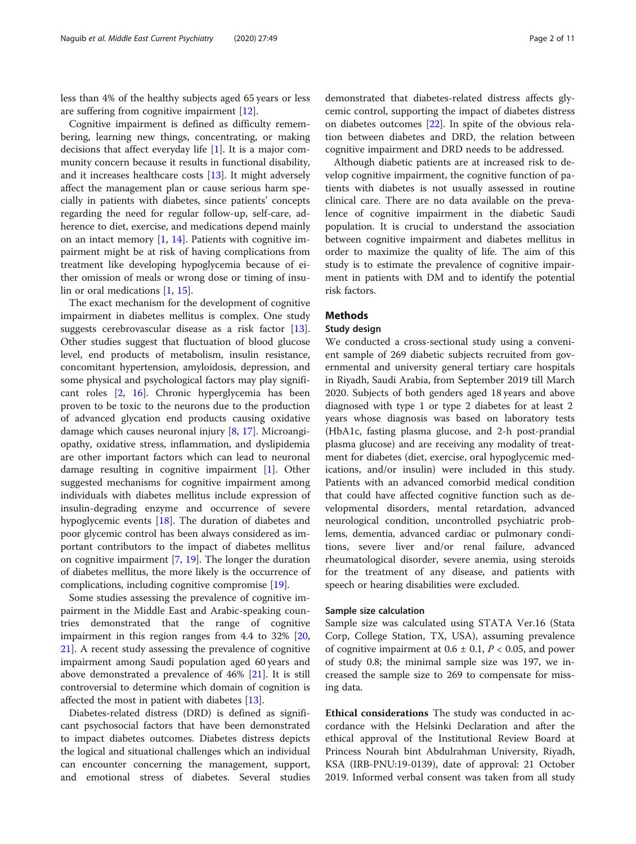less than 4% of the healthy subjects aged 65 years or less are suffering from cognitive impairment [\[12\]](#page-9-0).

Cognitive impairment is defined as difficulty remembering, learning new things, concentrating, or making decisions that affect everyday life [[1](#page-9-0)]. It is a major community concern because it results in functional disability, and it increases healthcare costs [\[13](#page-9-0)]. It might adversely affect the management plan or cause serious harm specially in patients with diabetes, since patients' concepts regarding the need for regular follow-up, self-care, adherence to diet, exercise, and medications depend mainly on an intact memory [\[1](#page-9-0), [14\]](#page-9-0). Patients with cognitive impairment might be at risk of having complications from treatment like developing hypoglycemia because of either omission of meals or wrong dose or timing of insulin or oral medications [[1,](#page-9-0) [15\]](#page-9-0).

The exact mechanism for the development of cognitive impairment in diabetes mellitus is complex. One study suggests cerebrovascular disease as a risk factor [\[13](#page-9-0)]. Other studies suggest that fluctuation of blood glucose level, end products of metabolism, insulin resistance, concomitant hypertension, amyloidosis, depression, and some physical and psychological factors may play significant roles [\[2](#page-9-0), [16\]](#page-9-0). Chronic hyperglycemia has been proven to be toxic to the neurons due to the production of advanced glycation end products causing oxidative damage which causes neuronal injury [[8,](#page-9-0) [17\]](#page-9-0). Microangiopathy, oxidative stress, inflammation, and dyslipidemia are other important factors which can lead to neuronal damage resulting in cognitive impairment [[1\]](#page-9-0). Other suggested mechanisms for cognitive impairment among individuals with diabetes mellitus include expression of insulin-degrading enzyme and occurrence of severe hypoglycemic events [[18\]](#page-9-0). The duration of diabetes and poor glycemic control has been always considered as important contributors to the impact of diabetes mellitus on cognitive impairment [[7,](#page-9-0) [19\]](#page-9-0). The longer the duration of diabetes mellitus, the more likely is the occurrence of complications, including cognitive compromise [\[19](#page-9-0)].

Some studies assessing the prevalence of cognitive impairment in the Middle East and Arabic-speaking countries demonstrated that the range of cognitive impairment in this region ranges from 4.4 to 32% [[20](#page-9-0), [21\]](#page-9-0). A recent study assessing the prevalence of cognitive impairment among Saudi population aged 60 years and above demonstrated a prevalence of 46% [[21\]](#page-9-0). It is still controversial to determine which domain of cognition is affected the most in patient with diabetes [\[13](#page-9-0)].

Diabetes-related distress (DRD) is defined as significant psychosocial factors that have been demonstrated to impact diabetes outcomes. Diabetes distress depicts the logical and situational challenges which an individual can encounter concerning the management, support, and emotional stress of diabetes. Several studies

demonstrated that diabetes-related distress affects glycemic control, supporting the impact of diabetes distress on diabetes outcomes [\[22\]](#page-9-0). In spite of the obvious relation between diabetes and DRD, the relation between cognitive impairment and DRD needs to be addressed.

Although diabetic patients are at increased risk to develop cognitive impairment, the cognitive function of patients with diabetes is not usually assessed in routine clinical care. There are no data available on the prevalence of cognitive impairment in the diabetic Saudi population. It is crucial to understand the association between cognitive impairment and diabetes mellitus in order to maximize the quality of life. The aim of this study is to estimate the prevalence of cognitive impairment in patients with DM and to identify the potential risk factors.

#### **Methods**

#### Study design

We conducted a cross-sectional study using a convenient sample of 269 diabetic subjects recruited from governmental and university general tertiary care hospitals in Riyadh, Saudi Arabia, from September 2019 till March 2020. Subjects of both genders aged 18 years and above diagnosed with type 1 or type 2 diabetes for at least 2 years whose diagnosis was based on laboratory tests (HbA1c, fasting plasma glucose, and 2-h post-prandial plasma glucose) and are receiving any modality of treatment for diabetes (diet, exercise, oral hypoglycemic medications, and/or insulin) were included in this study. Patients with an advanced comorbid medical condition that could have affected cognitive function such as developmental disorders, mental retardation, advanced neurological condition, uncontrolled psychiatric problems, dementia, advanced cardiac or pulmonary conditions, severe liver and/or renal failure, advanced rheumatological disorder, severe anemia, using steroids for the treatment of any disease, and patients with speech or hearing disabilities were excluded.

#### Sample size calculation

Sample size was calculated using STATA Ver.16 (Stata Corp, College Station, TX, USA), assuming prevalence of cognitive impairment at  $0.6 \pm 0.1$ ,  $P < 0.05$ , and power of study 0.8; the minimal sample size was 197, we increased the sample size to 269 to compensate for missing data.

Ethical considerations The study was conducted in accordance with the Helsinki Declaration and after the ethical approval of the Institutional Review Board at Princess Nourah bint Abdulrahman University, Riyadh, KSA (IRB-PNU:19-0139), date of approval: 21 October 2019. Informed verbal consent was taken from all study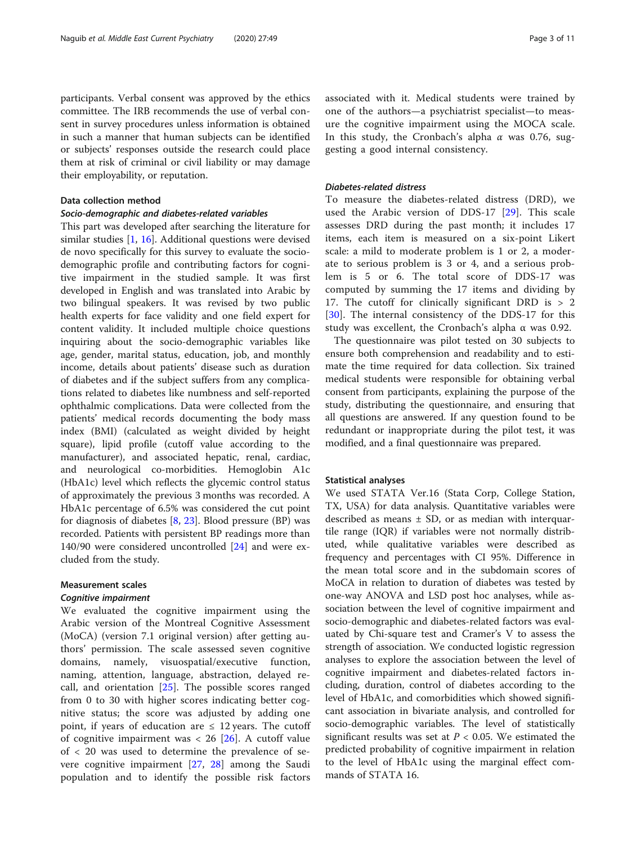participants. Verbal consent was approved by the ethics committee. The IRB recommends the use of verbal consent in survey procedures unless information is obtained in such a manner that human subjects can be identified or subjects' responses outside the research could place them at risk of criminal or civil liability or may damage their employability, or reputation.

#### Data collection method

#### Socio-demographic and diabetes-related variables

This part was developed after searching the literature for similar studies [[1,](#page-9-0) [16\]](#page-9-0). Additional questions were devised de novo specifically for this survey to evaluate the sociodemographic profile and contributing factors for cognitive impairment in the studied sample. It was first developed in English and was translated into Arabic by two bilingual speakers. It was revised by two public health experts for face validity and one field expert for content validity. It included multiple choice questions inquiring about the socio-demographic variables like age, gender, marital status, education, job, and monthly income, details about patients' disease such as duration of diabetes and if the subject suffers from any complications related to diabetes like numbness and self-reported ophthalmic complications. Data were collected from the patients' medical records documenting the body mass index (BMI) (calculated as weight divided by height square), lipid profile (cutoff value according to the manufacturer), and associated hepatic, renal, cardiac, and neurological co-morbidities. Hemoglobin A1c (HbA1c) level which reflects the glycemic control status of approximately the previous 3 months was recorded. A HbA1c percentage of 6.5% was considered the cut point for diagnosis of diabetes [\[8](#page-9-0), [23](#page-9-0)]. Blood pressure (BP) was recorded. Patients with persistent BP readings more than 140/90 were considered uncontrolled [\[24\]](#page-9-0) and were excluded from the study.

#### Measurement scales

#### Cognitive impairment

We evaluated the cognitive impairment using the Arabic version of the Montreal Cognitive Assessment (MoCA) (version 7.1 original version) after getting authors' permission. The scale assessed seven cognitive domains, namely, visuospatial/executive function, naming, attention, language, abstraction, delayed recall, and orientation [\[25](#page-9-0)]. The possible scores ranged from 0 to 30 with higher scores indicating better cognitive status; the score was adjusted by adding one point, if years of education are  $\leq 12$  years. The cutoff of cognitive impairment was  $< 26$  [[26\]](#page-9-0). A cutoff value of < 20 was used to determine the prevalence of severe cognitive impairment [\[27,](#page-9-0) [28](#page-9-0)] among the Saudi population and to identify the possible risk factors associated with it. Medical students were trained by one of the authors—a psychiatrist specialist—to measure the cognitive impairment using the MOCA scale. In this study, the Cronbach's alpha  $\alpha$  was 0.76, suggesting a good internal consistency.

#### Diabetes-related distress

To measure the diabetes-related distress (DRD), we used the Arabic version of DDS-17 [\[29](#page-9-0)]. This scale assesses DRD during the past month; it includes 17 items, each item is measured on a six-point Likert scale: a mild to moderate problem is 1 or 2, a moderate to serious problem is 3 or 4, and a serious problem is 5 or 6. The total score of DDS-17 was computed by summing the 17 items and dividing by 17. The cutoff for clinically significant DRD is  $> 2$ [[30\]](#page-9-0). The internal consistency of the DDS-17 for this study was excellent, the Cronbach's alpha  $\alpha$  was 0.92.

The questionnaire was pilot tested on 30 subjects to ensure both comprehension and readability and to estimate the time required for data collection. Six trained medical students were responsible for obtaining verbal consent from participants, explaining the purpose of the study, distributing the questionnaire, and ensuring that all questions are answered. If any question found to be redundant or inappropriate during the pilot test, it was modified, and a final questionnaire was prepared.

#### Statistical analyses

We used STATA Ver.16 (Stata Corp, College Station, TX, USA) for data analysis. Quantitative variables were described as means  $\pm$  SD, or as median with interquartile range (IQR) if variables were not normally distributed, while qualitative variables were described as frequency and percentages with CI 95%. Difference in the mean total score and in the subdomain scores of MoCA in relation to duration of diabetes was tested by one-way ANOVA and LSD post hoc analyses, while association between the level of cognitive impairment and socio-demographic and diabetes-related factors was evaluated by Chi-square test and Cramer's V to assess the strength of association. We conducted logistic regression analyses to explore the association between the level of cognitive impairment and diabetes-related factors including, duration, control of diabetes according to the level of HbA1c, and comorbidities which showed significant association in bivariate analysis, and controlled for socio-demographic variables. The level of statistically significant results was set at  $P < 0.05$ . We estimated the predicted probability of cognitive impairment in relation to the level of HbA1c using the marginal effect commands of STATA 16.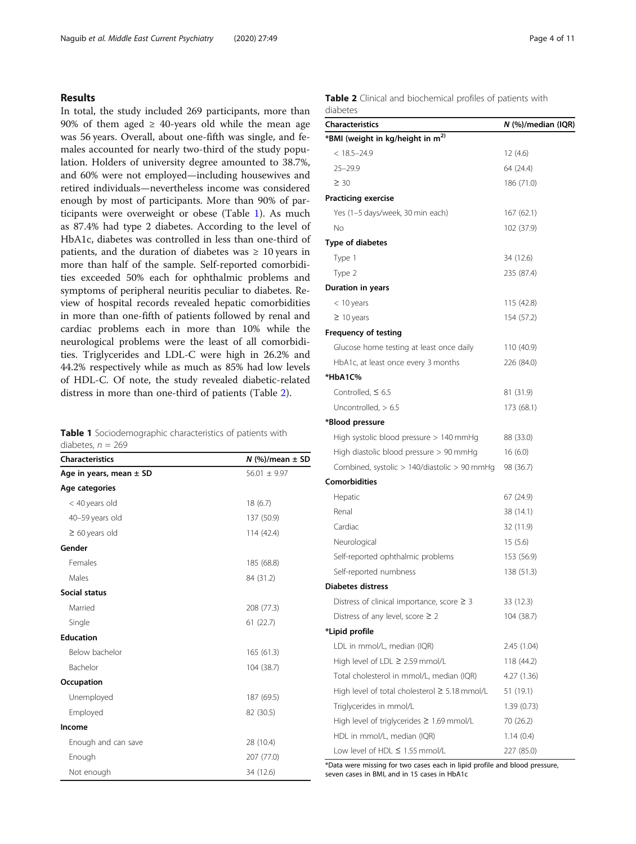#### Results

In total, the study included 269 participants, more than 90% of them aged  $\geq$  40-years old while the mean age was 56 years. Overall, about one-fifth was single, and females accounted for nearly two-third of the study population. Holders of university degree amounted to 38.7%, and 60% were not employed—including housewives and retired individuals—nevertheless income was considered enough by most of participants. More than 90% of participants were overweight or obese (Table 1). As much as 87.4% had type 2 diabetes. According to the level of HbA1c, diabetes was controlled in less than one-third of patients, and the duration of diabetes was  $\geq 10$  years in more than half of the sample. Self-reported comorbidities exceeded 50% each for ophthalmic problems and symptoms of peripheral neuritis peculiar to diabetes. Review of hospital records revealed hepatic comorbidities in more than one-fifth of patients followed by renal and cardiac problems each in more than 10% while the neurological problems were the least of all comorbidities. Triglycerides and LDL-C were high in 26.2% and 44.2% respectively while as much as 85% had low levels of HDL-C. Of note, the study revealed diabetic-related distress in more than one-third of patients (Table 2).

| Table 1 Sociodemographic characteristics of patients with |  |  |
|-----------------------------------------------------------|--|--|
| diabetes, $n = 269$                                       |  |  |

| <b>Characteristics</b>      | $N$ (%)/mean $\pm$ SD |
|-----------------------------|-----------------------|
| Age in years, mean $\pm$ SD | $56.01 \pm 9.97$      |
| Age categories              |                       |
| < 40 years old              | 18(6.7)               |
| 40-59 years old             | 137 (50.9)            |
| $\geq 60$ years old         | 114 (42.4)            |
| Gender                      |                       |
| Females                     | 185 (68.8)            |
| Males                       | 84 (31.2)             |
| Social status               |                       |
| Married                     | 208 (77.3)            |
| Single                      | 61(22.7)              |
| <b>Education</b>            |                       |
| Below bachelor              | 165(61.3)             |
| Bachelor                    | 104 (38.7)            |
| Occupation                  |                       |
| Unemployed                  | 187 (69.5)            |
| Employed                    | 82 (30.5)             |
| Income                      |                       |
| Enough and can save         | 28 (10.4)             |
| Enough                      | 207 (77.0)            |
| Not enough                  | 34 (12.6)             |

Table 2 Clinical and biochemical profiles of patients with diabetes

| <b>Characteristics</b>                             | N (%)/median (IQR) |
|----------------------------------------------------|--------------------|
| *BMI (weight in kg/height in m <sup>2)</sup>       |                    |
| $< 18.5 - 24.9$                                    | 12(4.6)            |
| $25 - 29.9$                                        | 64 (24.4)          |
| $\geq 30$                                          | 186 (71.0)         |
| <b>Practicing exercise</b>                         |                    |
| Yes (1–5 days/week, 30 min each)                   | 167(62.1)          |
| No                                                 | 102 (37.9)         |
| Type of diabetes                                   |                    |
| Type 1                                             | 34 (12.6)          |
| Type 2                                             | 235 (87.4)         |
| Duration in years                                  |                    |
| < 10 years                                         | 115 (42.8)         |
| $\geq 10$ years                                    | 154 (57.2)         |
| <b>Frequency of testing</b>                        |                    |
| Glucose home testing at least once daily           | 110 (40.9)         |
| HbA1c, at least once every 3 months                | 226 (84.0)         |
| *HbA1C%                                            |                    |
| Controlled, $\leq 6.5$                             | 81 (31.9)          |
| Uncontrolled, $> 6.5$                              | 173 (68.1)         |
| *Blood pressure                                    |                    |
| High systolic blood pressure $> 140$ mmHg          | 88 (33.0)          |
| High diastolic blood pressure $> 90$ mmHg          | 16(6.0)            |
| Combined, systolic $> 140$ /diastolic $> 90$ mmHg  | 98 (36.7)          |
| <b>Comorbidities</b>                               |                    |
| Hepatic                                            | 67 (24.9)          |
| Renal                                              | 38 (14.1)          |
| Cardiac                                            | 32 (11.9)          |
| Neurological                                       | 15 (5.6)           |
| Self-reported ophthalmic problems                  | 153 (56.9)         |
| Self-reported numbness                             | 138 (51.3)         |
| <b>Diabetes distress</b>                           |                    |
| Distress of clinical importance, score $\geq$ 3    | 33 (12.3)          |
| Distress of any level, score $\geq 2$              | 104 (38.7)         |
| *Lipid profile                                     |                    |
| LDL in mmol/L, median (IQR)                        | 2.45 (1.04)        |
| High level of LDL $\geq 2.59$ mmol/L               | 118 (44.2)         |
| Total cholesterol in mmol/L, median (IQR)          | 4.27 (1.36)        |
| High level of total cholesterol $\geq 5.18$ mmol/L | 51 (19.1)          |
| Triglycerides in mmol/L                            | 1.39(0.73)         |
| High level of triglycerides $\geq 1.69$ mmol/L     | 70 (26.2)          |
| HDL in mmol/L, median (IQR)                        | 1.14(0.4)          |
| Low level of HDL $\leq$ 1.55 mmol/L                | 227 (85.0)         |

\*Data were missing for two cases each in lipid profile and blood pressure, seven cases in BMI, and in 15 cases in HbA1c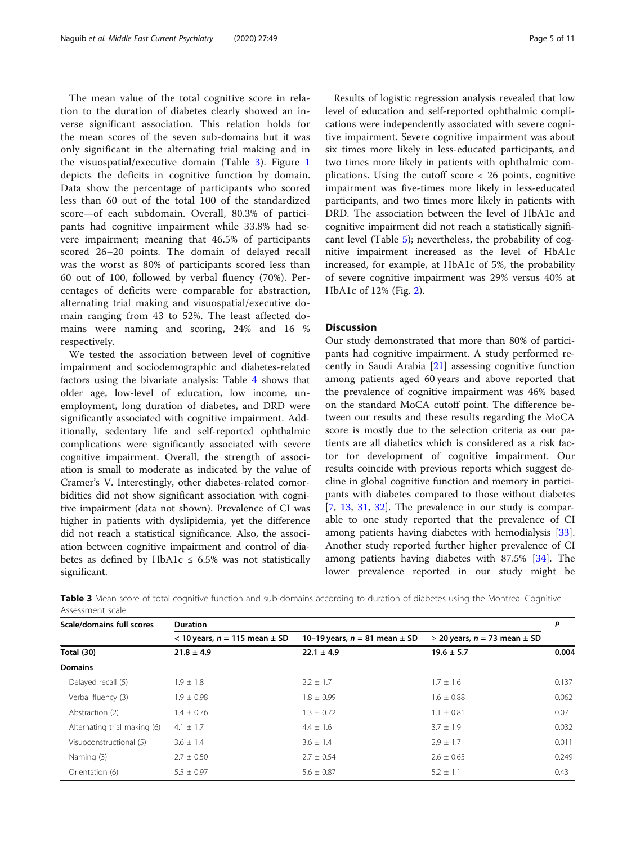The mean value of the total cognitive score in relation to the duration of diabetes clearly showed an inverse significant association. This relation holds for the mean scores of the seven sub-domains but it was only significant in the alternating trial making and in the visuospatial/executive domain (Table 3). Figure [1](#page-5-0) depicts the deficits in cognitive function by domain. Data show the percentage of participants who scored less than 60 out of the total 100 of the standardized score—of each subdomain. Overall, 80.3% of participants had cognitive impairment while 33.8% had severe impairment; meaning that 46.5% of participants scored 26–20 points. The domain of delayed recall was the worst as 80% of participants scored less than 60 out of 100, followed by verbal fluency (70%). Percentages of deficits were comparable for abstraction, alternating trial making and visuospatial/executive domain ranging from 43 to 52%. The least affected domains were naming and scoring, 24% and 16 % respectively.

We tested the association between level of cognitive impairment and sociodemographic and diabetes-related factors using the bivariate analysis: Table [4](#page-6-0) shows that older age, low-level of education, low income, unemployment, long duration of diabetes, and DRD were significantly associated with cognitive impairment. Additionally, sedentary life and self-reported ophthalmic complications were significantly associated with severe cognitive impairment. Overall, the strength of association is small to moderate as indicated by the value of Cramer's V. Interestingly, other diabetes-related comorbidities did not show significant association with cognitive impairment (data not shown). Prevalence of CI was higher in patients with dyslipidemia, yet the difference did not reach a statistical significance. Also, the association between cognitive impairment and control of diabetes as defined by HbA1c  $\leq$  6.5% was not statistically significant.

Results of logistic regression analysis revealed that low level of education and self-reported ophthalmic complications were independently associated with severe cognitive impairment. Severe cognitive impairment was about six times more likely in less-educated participants, and two times more likely in patients with ophthalmic complications. Using the cutoff score < 26 points, cognitive impairment was five-times more likely in less-educated participants, and two times more likely in patients with DRD. The association between the level of HbA1c and cognitive impairment did not reach a statistically significant level (Table [5\)](#page-7-0); nevertheless, the probability of cognitive impairment increased as the level of HbA1c increased, for example, at HbA1c of 5%, the probability of severe cognitive impairment was 29% versus 40% at HbA1c of 12% (Fig. [2\)](#page-7-0).

#### **Discussion**

Our study demonstrated that more than 80% of participants had cognitive impairment. A study performed recently in Saudi Arabia [[21\]](#page-9-0) assessing cognitive function among patients aged 60 years and above reported that the prevalence of cognitive impairment was 46% based on the standard MoCA cutoff point. The difference between our results and these results regarding the MoCA score is mostly due to the selection criteria as our patients are all diabetics which is considered as a risk factor for development of cognitive impairment. Our results coincide with previous reports which suggest decline in global cognitive function and memory in participants with diabetes compared to those without diabetes [[7,](#page-9-0) [13,](#page-9-0) [31,](#page-10-0) [32\]](#page-10-0). The prevalence in our study is comparable to one study reported that the prevalence of CI among patients having diabetes with hemodialysis [\[33](#page-10-0)]. Another study reported further higher prevalence of CI among patients having diabetes with 87.5% [[34\]](#page-10-0). The lower prevalence reported in our study might be

| Table 3 Mean score of total cognitive function and sub-domains according to duration of diabetes using the Montreal Cognitive |  |  |  |  |
|-------------------------------------------------------------------------------------------------------------------------------|--|--|--|--|
| Assessment scale                                                                                                              |  |  |  |  |

| Scale/domains full scores    | <b>Duration</b>                       |                                     |                                       |       |  |  |  |
|------------------------------|---------------------------------------|-------------------------------------|---------------------------------------|-------|--|--|--|
|                              | $<$ 10 years, $n = 115$ mean $\pm$ SD | 10–19 years, $n = 81$ mean $\pm$ SD | $\geq$ 20 years, n = 73 mean $\pm$ SD |       |  |  |  |
| <b>Total (30)</b>            | $21.8 \pm 4.9$                        | $22.1 \pm 4.9$                      | $19.6 \pm 5.7$                        | 0.004 |  |  |  |
| <b>Domains</b>               |                                       |                                     |                                       |       |  |  |  |
| Delayed recall (5)           | $1.9 \pm 1.8$                         | $2.2 \pm 1.7$                       | $1.7 \pm 1.6$                         | 0.137 |  |  |  |
| Verbal fluency (3)           | $1.9 \pm 0.98$                        | $1.8 \pm 0.99$                      | $1.6 \pm 0.88$                        | 0.062 |  |  |  |
| Abstraction (2)              | $1.4 \pm 0.76$                        | $1.3 \pm 0.72$                      | $1.1 \pm 0.81$                        | 0.07  |  |  |  |
| Alternating trial making (6) | $4.1 \pm 1.7$                         | $4.4 \pm 1.6$                       | $3.7 \pm 1.9$                         | 0.032 |  |  |  |
| Visuoconstructional (5)      | $3.6 \pm 1.4$                         | $3.6 \pm 1.4$                       | $2.9 \pm 1.7$                         | 0.011 |  |  |  |
| Naming (3)                   | $2.7 \pm 0.50$                        | $2.7 \pm 0.54$                      | $2.6 \pm 0.65$                        | 0.249 |  |  |  |
| Orientation (6)              | $5.5 \pm 0.97$                        | $5.6 \pm 0.87$                      | $5.2 \pm 1.1$                         | 0.43  |  |  |  |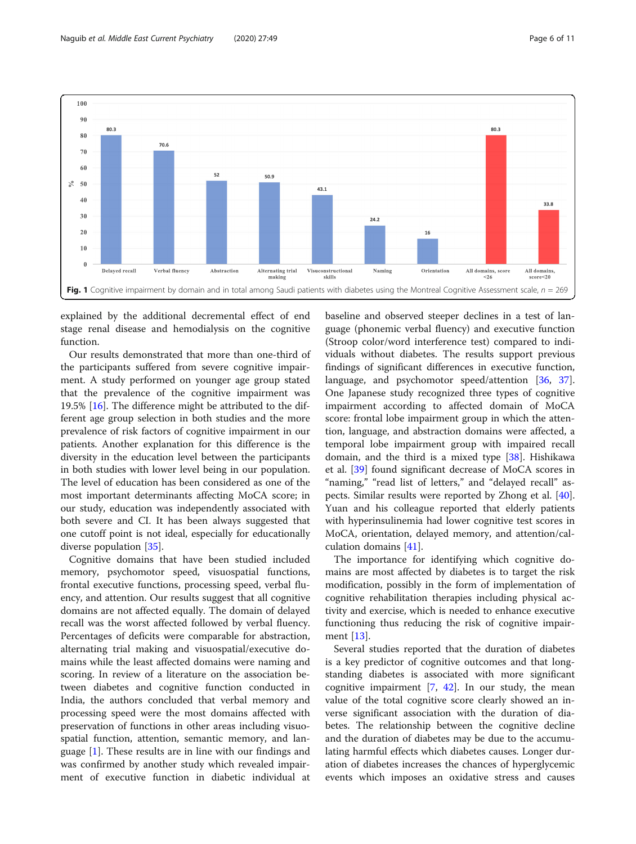<span id="page-5-0"></span>

explained by the additional decremental effect of end stage renal disease and hemodialysis on the cognitive function.

Our results demonstrated that more than one-third of the participants suffered from severe cognitive impairment. A study performed on younger age group stated that the prevalence of the cognitive impairment was 19.5% [[16](#page-9-0)]. The difference might be attributed to the different age group selection in both studies and the more prevalence of risk factors of cognitive impairment in our patients. Another explanation for this difference is the diversity in the education level between the participants in both studies with lower level being in our population. The level of education has been considered as one of the most important determinants affecting MoCA score; in our study, education was independently associated with both severe and CI. It has been always suggested that one cutoff point is not ideal, especially for educationally diverse population [\[35](#page-10-0)].

Cognitive domains that have been studied included memory, psychomotor speed, visuospatial functions, frontal executive functions, processing speed, verbal fluency, and attention. Our results suggest that all cognitive domains are not affected equally. The domain of delayed recall was the worst affected followed by verbal fluency. Percentages of deficits were comparable for abstraction, alternating trial making and visuospatial/executive domains while the least affected domains were naming and scoring. In review of a literature on the association between diabetes and cognitive function conducted in India, the authors concluded that verbal memory and processing speed were the most domains affected with preservation of functions in other areas including visuospatial function, attention, semantic memory, and language [\[1](#page-9-0)]. These results are in line with our findings and was confirmed by another study which revealed impairment of executive function in diabetic individual at baseline and observed steeper declines in a test of language (phonemic verbal fluency) and executive function (Stroop color/word interference test) compared to individuals without diabetes. The results support previous findings of significant differences in executive function, language, and psychomotor speed/attention [[36,](#page-10-0) [37](#page-10-0)]. One Japanese study recognized three types of cognitive impairment according to affected domain of MoCA score: frontal lobe impairment group in which the attention, language, and abstraction domains were affected, a temporal lobe impairment group with impaired recall domain, and the third is a mixed type [[38\]](#page-10-0). Hishikawa et al. [[39](#page-10-0)] found significant decrease of MoCA scores in "naming," "read list of letters," and "delayed recall" aspects. Similar results were reported by Zhong et al. [\[40](#page-10-0)]. Yuan and his colleague reported that elderly patients with hyperinsulinemia had lower cognitive test scores in MoCA, orientation, delayed memory, and attention/calculation domains [\[41](#page-10-0)].

The importance for identifying which cognitive domains are most affected by diabetes is to target the risk modification, possibly in the form of implementation of cognitive rehabilitation therapies including physical activity and exercise, which is needed to enhance executive functioning thus reducing the risk of cognitive impairment [[13\]](#page-9-0).

Several studies reported that the duration of diabetes is a key predictor of cognitive outcomes and that longstanding diabetes is associated with more significant cognitive impairment [[7,](#page-9-0) [42](#page-10-0)]. In our study, the mean value of the total cognitive score clearly showed an inverse significant association with the duration of diabetes. The relationship between the cognitive decline and the duration of diabetes may be due to the accumulating harmful effects which diabetes causes. Longer duration of diabetes increases the chances of hyperglycemic events which imposes an oxidative stress and causes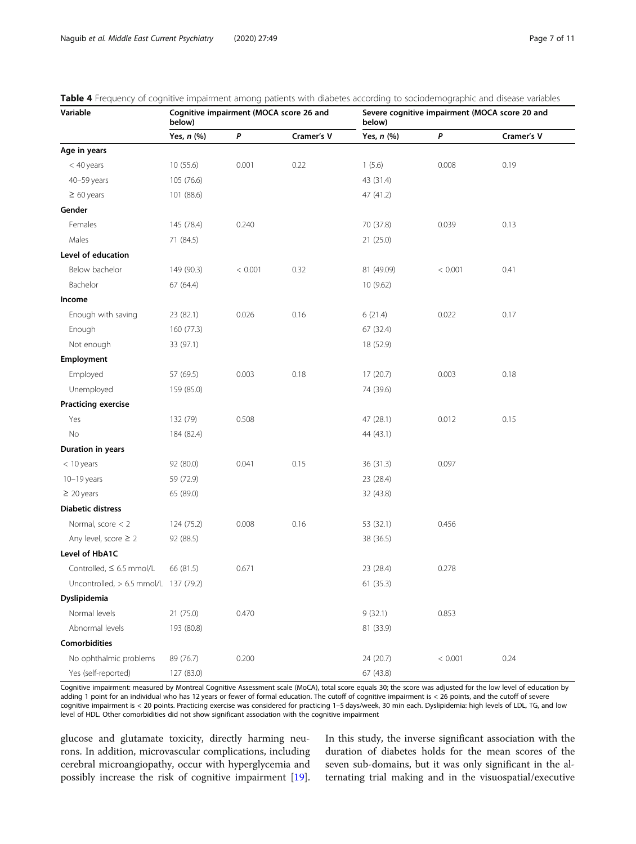| Variable                                | Cognitive impairment (MOCA score 26 and<br>Severe cognitive impairment (MOCA score 20 and<br>below)<br>below) |         |            |            |         |            |
|-----------------------------------------|---------------------------------------------------------------------------------------------------------------|---------|------------|------------|---------|------------|
|                                         | Yes, n (%)                                                                                                    | P       | Cramer's V | Yes, n (%) | P       | Cramer's V |
| Age in years                            |                                                                                                               |         |            |            |         |            |
| $<$ 40 years                            | 10(55.6)                                                                                                      | 0.001   | 0.22       | 1(5.6)     | 0.008   | 0.19       |
| 40-59 years                             | 105 (76.6)                                                                                                    |         |            | 43 (31.4)  |         |            |
| $\geq 60$ years                         | 101 (88.6)                                                                                                    |         |            | 47 (41.2)  |         |            |
| Gender                                  |                                                                                                               |         |            |            |         |            |
| Females                                 | 145 (78.4)                                                                                                    | 0.240   |            | 70 (37.8)  | 0.039   | 0.13       |
| Males                                   | 71 (84.5)                                                                                                     |         |            | 21 (25.0)  |         |            |
| Level of education                      |                                                                                                               |         |            |            |         |            |
| Below bachelor                          | 149 (90.3)                                                                                                    | < 0.001 | 0.32       | 81 (49.09) | < 0.001 | 0.41       |
| Bachelor                                | 67 (64.4)                                                                                                     |         |            | 10 (9.62)  |         |            |
| Income                                  |                                                                                                               |         |            |            |         |            |
| Enough with saving                      | 23 (82.1)                                                                                                     | 0.026   | 0.16       | 6(21.4)    | 0.022   | 0.17       |
| Enough                                  | 160 (77.3)                                                                                                    |         |            | 67 (32.4)  |         |            |
| Not enough                              | 33 (97.1)                                                                                                     |         |            | 18 (52.9)  |         |            |
| Employment                              |                                                                                                               |         |            |            |         |            |
| Employed                                | 57 (69.5)                                                                                                     | 0.003   | 0.18       | 17 (20.7)  | 0.003   | 0.18       |
| Unemployed                              | 159 (85.0)                                                                                                    |         |            | 74 (39.6)  |         |            |
| <b>Practicing exercise</b>              |                                                                                                               |         |            |            |         |            |
| Yes                                     | 132 (79)                                                                                                      | 0.508   |            | 47 (28.1)  | 0.012   | 0.15       |
| No                                      | 184 (82.4)                                                                                                    |         |            | 44 (43.1)  |         |            |
| Duration in years                       |                                                                                                               |         |            |            |         |            |
| $< 10$ years                            | 92 (80.0)                                                                                                     | 0.041   | 0.15       | 36 (31.3)  | 0.097   |            |
| $10-19$ years                           | 59 (72.9)                                                                                                     |         |            | 23 (28.4)  |         |            |
| $\geq 20$ years                         | 65 (89.0)                                                                                                     |         |            | 32 (43.8)  |         |            |
| <b>Diabetic distress</b>                |                                                                                                               |         |            |            |         |            |
| Normal, score < 2                       | 124 (75.2)                                                                                                    | 0.008   | 0.16       | 53 (32.1)  | 0.456   |            |
| Any level, score $\geq 2$               | 92 (88.5)                                                                                                     |         |            | 38 (36.5)  |         |            |
| Level of HbA1C                          |                                                                                                               |         |            |            |         |            |
| Controlled, $\leq 6.5$ mmol/L           | 66 (81.5)                                                                                                     | 0.671   |            | 23 (28.4)  | 0.278   |            |
| Uncontrolled, $> 6.5$ mmol/L 137 (79.2) |                                                                                                               |         |            | 61 (35.3)  |         |            |
| Dyslipidemia                            |                                                                                                               |         |            |            |         |            |
| Normal levels                           | 21 (75.0)                                                                                                     | 0.470   |            | 9(32.1)    | 0.853   |            |
| Abnormal levels                         | 193 (80.8)                                                                                                    |         |            | 81 (33.9)  |         |            |
| <b>Comorbidities</b>                    |                                                                                                               |         |            |            |         |            |
| No ophthalmic problems                  | 89 (76.7)                                                                                                     | 0.200   |            | 24 (20.7)  | < 0.001 | 0.24       |
| Yes (self-reported)                     | 127 (83.0)                                                                                                    |         |            | 67 (43.8)  |         |            |

<span id="page-6-0"></span>

| Table 4 Frequency of cognitive impairment among patients with diabetes according to sociodemographic and disease variables |  |  |  |  |  |  |  |  |
|----------------------------------------------------------------------------------------------------------------------------|--|--|--|--|--|--|--|--|
|----------------------------------------------------------------------------------------------------------------------------|--|--|--|--|--|--|--|--|

Cognitive impairment: measured by Montreal Cognitive Assessment scale (MoCA), total score equals 30; the score was adjusted for the low level of education by adding 1 point for an individual who has 12 years or fewer of formal education. The cutoff of cognitive impairment is < 26 points, and the cutoff of severe cognitive impairment is < 20 points. Practicing exercise was considered for practicing 1–5 days/week, 30 min each. Dyslipidemia: high levels of LDL, TG, and low level of HDL. Other comorbidities did not show significant association with the cognitive impairment

glucose and glutamate toxicity, directly harming neurons. In addition, microvascular complications, including cerebral microangiopathy, occur with hyperglycemia and possibly increase the risk of cognitive impairment [\[19](#page-9-0)]. In this study, the inverse significant association with the duration of diabetes holds for the mean scores of the seven sub-domains, but it was only significant in the alternating trial making and in the visuospatial/executive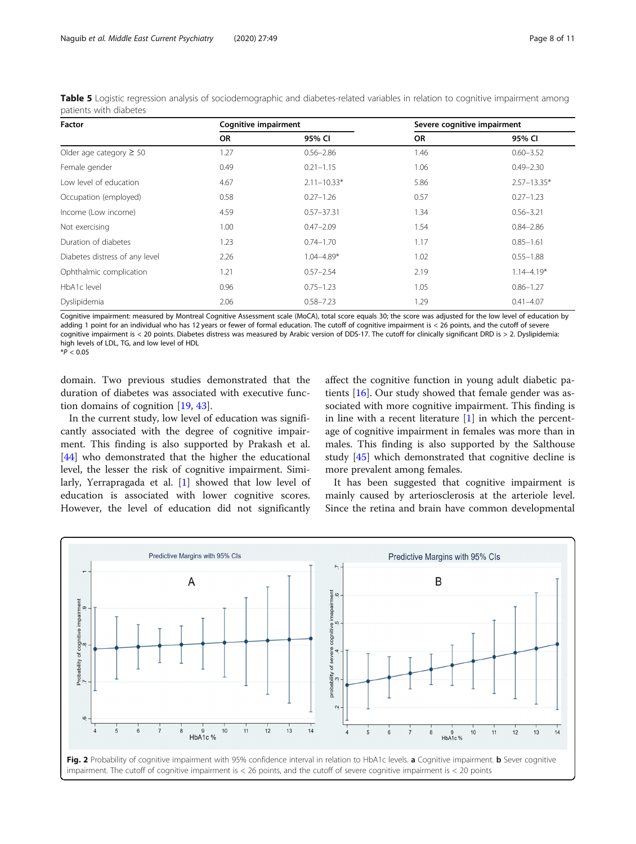<span id="page-7-0"></span>Table 5 Logistic regression analysis of sociodemographic and diabetes-related variables in relation to cognitive impairment among patients with diabetes

| Factor                         | <b>Cognitive impairment</b> |                 | Severe cognitive impairment |                 |  |
|--------------------------------|-----------------------------|-----------------|-----------------------------|-----------------|--|
|                                | <b>OR</b>                   | 95% CI          | <b>OR</b>                   | 95% CI          |  |
| Older age category $\geq 50$   | 1.27                        | $0.56 - 2.86$   | 1.46                        | $0.60 - 3.52$   |  |
| Female gender                  | 0.49                        | $0.21 - 1.15$   | 1.06                        | $0.49 - 2.30$   |  |
| Low level of education         | 4.67                        | $2.11 - 10.33*$ | 5.86                        | $2.57 - 13.35*$ |  |
| Occupation (employed)          | 0.58                        | $0.27 - 1.26$   | 0.57                        | $0.27 - 1.23$   |  |
| Income (Low income)            | 4.59                        | $0.57 - 37.31$  | 1.34                        | $0.56 - 3.21$   |  |
| Not exercising                 | 1.00                        | $0.47 - 2.09$   | 1.54                        | $0.84 - 2.86$   |  |
| Duration of diabetes           | 1.23                        | $0.74 - 1.70$   | 1.17                        | $0.85 - 1.61$   |  |
| Diabetes distress of any level | 2.26                        | $1.04 - 4.89*$  | 1.02                        | $0.55 - 1.88$   |  |
| Ophthalmic complication        | 1.21                        | $0.57 - 2.54$   | 2.19                        | $1.14 - 4.19*$  |  |
| HbA1c level                    | 0.96                        | $0.75 - 1.23$   | 1.05                        | $0.86 - 1.27$   |  |
| Dyslipidemia                   | 2.06                        | $0.58 - 7.23$   | 1.29                        | $0.41 - 4.07$   |  |

Cognitive impairment: measured by Montreal Cognitive Assessment scale (MoCA), total score equals 30; the score was adjusted for the low level of education by adding 1 point for an individual who has 12 years or fewer of formal education. The cutoff of cognitive impairment is < 26 points, and the cutoff of severe cognitive impairment is < 20 points. Diabetes distress was measured by Arabic version of DDS-17. The cutoff for clinically significant DRD is > 2. Dyslipidemia: high levels of LDL, TG, and low level of HDL

 $*P < 0.05$ 

domain. Two previous studies demonstrated that the duration of diabetes was associated with executive function domains of cognition [[19,](#page-9-0) [43\]](#page-10-0).

In the current study, low level of education was significantly associated with the degree of cognitive impairment. This finding is also supported by Prakash et al. [[44\]](#page-10-0) who demonstrated that the higher the educational level, the lesser the risk of cognitive impairment. Similarly, Yerrapragada et al. [\[1](#page-9-0)] showed that low level of education is associated with lower cognitive scores. However, the level of education did not significantly affect the cognitive function in young adult diabetic patients [\[16](#page-9-0)]. Our study showed that female gender was associated with more cognitive impairment. This finding is in line with a recent literature [[1\]](#page-9-0) in which the percentage of cognitive impairment in females was more than in males. This finding is also supported by the Salthouse study [[45](#page-10-0)] which demonstrated that cognitive decline is more prevalent among females.

It has been suggested that cognitive impairment is mainly caused by arteriosclerosis at the arteriole level. Since the retina and brain have common developmental

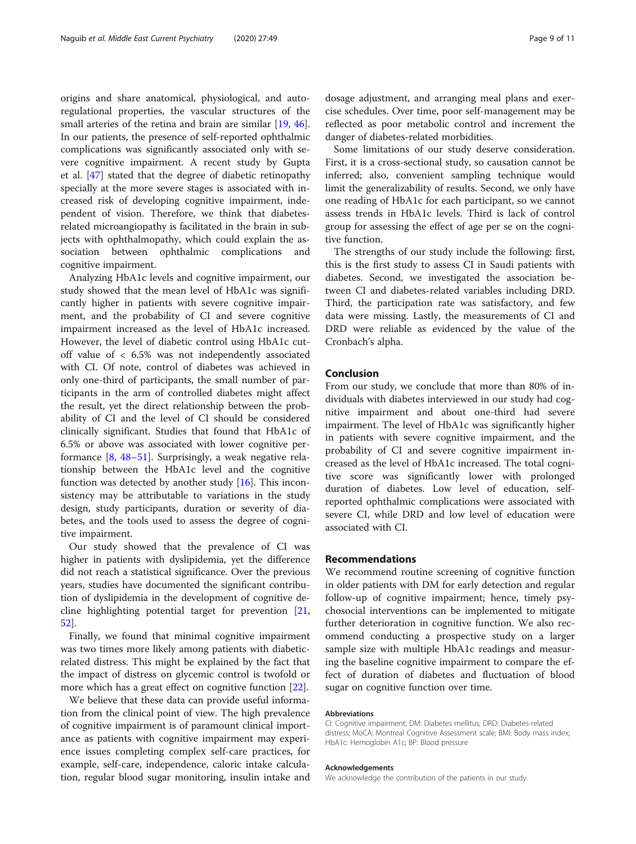origins and share anatomical, physiological, and autoregulational properties, the vascular structures of the small arteries of the retina and brain are similar [\[19](#page-9-0), [46](#page-10-0)]. In our patients, the presence of self-reported ophthalmic complications was significantly associated only with severe cognitive impairment. A recent study by Gupta et al. [\[47](#page-10-0)] stated that the degree of diabetic retinopathy specially at the more severe stages is associated with increased risk of developing cognitive impairment, independent of vision. Therefore, we think that diabetesrelated microangiopathy is facilitated in the brain in subjects with ophthalmopathy, which could explain the association between ophthalmic complications and cognitive impairment.

Analyzing HbA1c levels and cognitive impairment, our study showed that the mean level of HbA1c was significantly higher in patients with severe cognitive impairment, and the probability of CI and severe cognitive impairment increased as the level of HbA1c increased. However, the level of diabetic control using HbA1c cutoff value of < 6.5% was not independently associated with CI. Of note, control of diabetes was achieved in only one-third of participants, the small number of participants in the arm of controlled diabetes might affect the result, yet the direct relationship between the probability of CI and the level of CI should be considered clinically significant. Studies that found that HbA1c of 6.5% or above was associated with lower cognitive performance [\[8,](#page-9-0) [48](#page-10-0)–[51](#page-10-0)]. Surprisingly, a weak negative relationship between the HbA1c level and the cognitive function was detected by another study [[16](#page-9-0)]. This inconsistency may be attributable to variations in the study design, study participants, duration or severity of diabetes, and the tools used to assess the degree of cognitive impairment.

Our study showed that the prevalence of CI was higher in patients with dyslipidemia, yet the difference did not reach a statistical significance. Over the previous years, studies have documented the significant contribution of dyslipidemia in the development of cognitive decline highlighting potential target for prevention [[21](#page-9-0), [52\]](#page-10-0).

Finally, we found that minimal cognitive impairment was two times more likely among patients with diabeticrelated distress. This might be explained by the fact that the impact of distress on glycemic control is twofold or more which has a great effect on cognitive function [\[22\]](#page-9-0).

We believe that these data can provide useful information from the clinical point of view. The high prevalence of cognitive impairment is of paramount clinical importance as patients with cognitive impairment may experience issues completing complex self-care practices, for example, self-care, independence, caloric intake calculation, regular blood sugar monitoring, insulin intake and dosage adjustment, and arranging meal plans and exercise schedules. Over time, poor self-management may be reflected as poor metabolic control and increment the danger of diabetes-related morbidities.

Some limitations of our study deserve consideration. First, it is a cross-sectional study, so causation cannot be inferred; also, convenient sampling technique would limit the generalizability of results. Second, we only have one reading of HbA1c for each participant, so we cannot assess trends in HbA1c levels. Third is lack of control group for assessing the effect of age per se on the cognitive function.

The strengths of our study include the following: first, this is the first study to assess CI in Saudi patients with diabetes. Second, we investigated the association between CI and diabetes-related variables including DRD. Third, the participation rate was satisfactory, and few data were missing. Lastly, the measurements of CI and DRD were reliable as evidenced by the value of the Cronbach's alpha.

#### Conclusion

From our study, we conclude that more than 80% of individuals with diabetes interviewed in our study had cognitive impairment and about one-third had severe impairment. The level of HbA1c was significantly higher in patients with severe cognitive impairment, and the probability of CI and severe cognitive impairment increased as the level of HbA1c increased. The total cognitive score was significantly lower with prolonged duration of diabetes. Low level of education, selfreported ophthalmic complications were associated with severe CI, while DRD and low level of education were associated with CI.

#### Recommendations

We recommend routine screening of cognitive function in older patients with DM for early detection and regular follow-up of cognitive impairment; hence, timely psychosocial interventions can be implemented to mitigate further deterioration in cognitive function. We also recommend conducting a prospective study on a larger sample size with multiple HbA1c readings and measuring the baseline cognitive impairment to compare the effect of duration of diabetes and fluctuation of blood sugar on cognitive function over time.

#### Abbreviations

CI: Cognitive impairment; DM: Diabetes mellitus; DRD: Diabetes-related distress; MoCA: Montreal Cognitive Assessment scale; BMI: Body mass index; HbA1c: Hemoglobin A1c; BP: Blood pressure

#### Acknowledgements

We acknowledge the contribution of the patients in our study.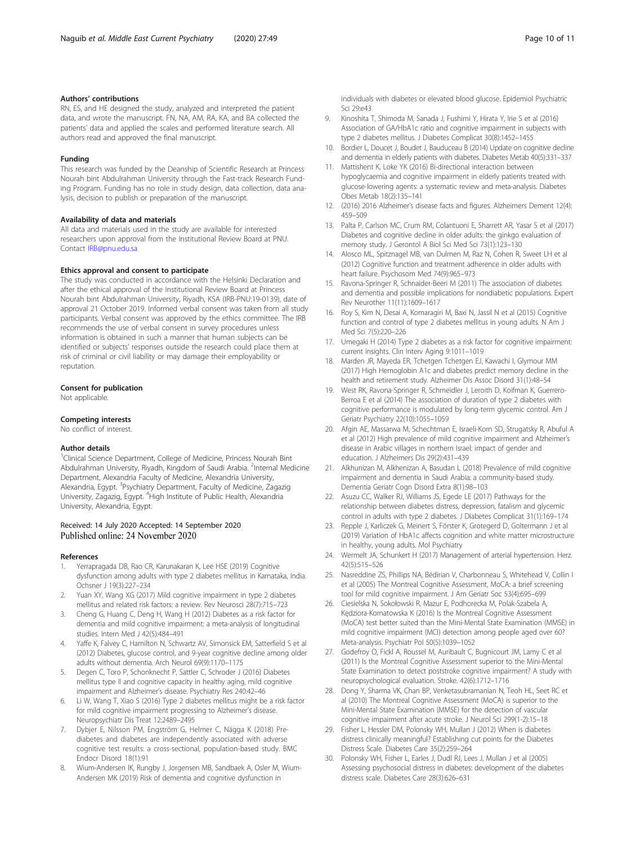#### <span id="page-9-0"></span>Authors' contributions

RN, ES, and HE designed the study, analyzed and interpreted the patient data, and wrote the manuscript. FN, NA, AM, RA, KA, and BA collected the patients' data and applied the scales and performed literature search. All authors read and approved the final manuscript.

#### Funding

This research was funded by the Deanship of Scientific Research at Princess Nourah bint Abdulrahman University through the Fast-track Research Funding Program. Funding has no role in study design, data collection, data analysis, decision to publish or preparation of the manuscript.

#### Availability of data and materials

All data and materials used in the study are available for interested researchers upon approval from the Institutional Review Board at PNU. Contact [IRB@pnu.edu.sa](mailto:IRB@pnu.edu.sa)

#### Ethics approval and consent to participate

The study was conducted in accordance with the Helsinki Declaration and after the ethical approval of the Institutional Review Board at Princess Nourah bint Abdulrahman University, Riyadh, KSA (IRB-PNU:19-0139), date of approval 21 October 2019. Informed verbal consent was taken from all study participants. Verbal consent was approved by the ethics committee. The IRB recommends the use of verbal consent in survey procedures unless information is obtained in such a manner that human subjects can be identified or subjects' responses outside the research could place them at risk of criminal or civil liability or may damage their employability or reputation.

#### Consent for publication

Not applicable.

#### Competing interests

No conflict of interest.

#### Author details

<sup>1</sup>Clinical Science Department, College of Medicine, Princess Nourah Bint Abdulrahman University, Riyadh, Kingdom of Saudi Arabia. <sup>2</sup>Internal Medicine Department, Alexandria Faculty of Medicine, Alexandria University, Alexandria, Egypt. <sup>3</sup>Psychiatry Department, Faculty of Medicine, Zagazig University, Zagazig, Egypt. <sup>4</sup> High Institute of Public Health, Alexandria University, Alexandria, Egypt.

# Received: 14 July 2020 Accepted: 14 September 2020

#### References

- 1. Yerrapragada DB, Rao CR, Karunakaran K, Lee HSE (2019) Cognitive dysfunction among adults with type 2 diabetes mellitus in Karnataka, India. Ochsner J 19(3):227–234
- 2. Yuan XY, Wang XG (2017) Mild cognitive impairment in type 2 diabetes mellitus and related risk factors: a review. Rev Neurosci 28(7):715–723
- 3. Cheng G, Huang C, Deng H, Wang H (2012) Diabetes as a risk factor for dementia and mild cognitive impairment: a meta-analysis of longitudinal studies. Intern Med J 42(5):484–491
- 4. Yaffe K, Falvey C, Hamilton N, Schwartz AV, Simonsick EM, Satterfield S et al (2012) Diabetes, glucose control, and 9-year cognitive decline among older adults without dementia. Arch Neurol 69(9):1170–1175
- 5. Degen C, Toro P, Schonknecht P, Sattler C, Schroder J (2016) Diabetes mellitus type II and cognitive capacity in healthy aging, mild cognitive impairment and Alzheimer's disease. Psychiatry Res 240:42–46
- 6. Li W, Wang T, Xiao S (2016) Type 2 diabetes mellitus might be a risk factor for mild cognitive impairment progressing to Alzheimer's disease. Neuropsychiatr Dis Treat 12:2489–2495
- 7. Dybjer E, Nilsson PM, Engström G, Helmer C, Nägga K (2018) Prediabetes and diabetes are independently associated with adverse cognitive test results: a cross-sectional, population-based study. BMC Endocr Disord 18(1):91
- 8. Wium-Andersen IK, Rungby J, Jorgensen MB, Sandbaek A, Osler M, Wium-Andersen MK (2019) Risk of dementia and cognitive dysfunction in

individuals with diabetes or elevated blood glucose. Epidemiol Psychiatric Sci 29:e43

- 9. Kinoshita T, Shimoda M, Sanada J, Fushimi Y, Hirata Y, Irie S et al (2016) Association of GA/HbA1c ratio and cognitive impairment in subjects with type 2 diabetes mellitus. J Diabetes Complicat 30(8):1452–1455
- 10. Bordier L, Doucet J, Boudet J, Bauduceau B (2014) Update on cognitive decline and dementia in elderly patients with diabetes. Diabetes Metab 40(5):331–337
- 11. Mattishent K, Loke YK (2016) Bi-directional interaction between hypoglycaemia and cognitive impairment in elderly patients treated with glucose-lowering agents: a systematic review and meta-analysis. Diabetes Obes Metab 18(2):135–141
- 12. (2016) 2016 Alzheimer's disease facts and figures. Alzheimers Dement 12(4): 459–509
- 13. Palta P, Carlson MC, Crum RM, Colantuoni E, Sharrett AR, Yasar S et al (2017) Diabetes and cognitive decline in older adults: the ginkgo evaluation of memory study. J Gerontol A Biol Sci Med Sci 73(1):123–130
- 14. Alosco ML, Spitznagel MB, van Dulmen M, Raz N, Cohen R, Sweet LH et al (2012) Cognitive function and treatment adherence in older adults with heart failure. Psychosom Med 74(9):965–973
- 15. Ravona-Springer R, Schnaider-Beeri M (2011) The association of diabetes and dementia and possible implications for nondiabetic populations. Expert Rev Neurother 11(11):1609–1617
- 16. Roy S, Kim N, Desai A, Komaragiri M, Baxi N, Jassil N et al (2015) Cognitive function and control of type 2 diabetes mellitus in young adults. N Am J Med Sci 7(5):220–226
- 17. Umegaki H (2014) Type 2 diabetes as a risk factor for cognitive impairment: current insights. Clin Interv Aging 9:1011–1019
- 18. Marden JR, Mayeda ER, Tchetgen Tchetgen EJ, Kawachi I, Glymour MM (2017) High Hemoglobin A1c and diabetes predict memory decline in the health and retirement study. Alzheimer Dis Assoc Disord 31(1):48–54
- 19. West RK, Ravona-Springer R, Schmeidler J, Leroith D, Koifman K, Guerrero-Berroa E et al (2014) The association of duration of type 2 diabetes with cognitive performance is modulated by long-term glycemic control. Am J Geriatr Psychiatry 22(10):1055–1059
- 20. Afgin AE, Massarwa M, Schechtman E, Israeli-Korn SD, Strugatsky R, Abuful A et al (2012) High prevalence of mild cognitive impairment and Alzheimer's disease in Arabic villages in northern Israel: impact of gender and education. J Alzheimers Dis 29(2):431–439
- 21. Alkhunizan M, Alkhenizan A, Basudan L (2018) Prevalence of mild cognitive impairment and dementia in Saudi Arabia: a community-based study. Dementia Geriatr Cogn Disord Extra 8(1):98–103
- 22. Asuzu CC, Walker RJ, Williams JS, Egede LE (2017) Pathways for the relationship between diabetes distress, depression, fatalism and glycemic control in adults with type 2 diabetes. J Diabetes Complicat 31(1):169–174
- 23. Repple J, Karliczek G, Meinert S, Förster K, Grotegerd D, Goltermann J et al (2019) Variation of HbA1c affects cognition and white matter microstructure in healthy, young adults. Mol Psychiatry
- 24. Wermelt JA, Schunkert H (2017) Management of arterial hypertension. Herz. 42(5):515–526
- 25. Nasreddine ZS, Phillips NA, Bédirian V, Charbonneau S, Whitehead V, Collin I et al (2005) The Montreal Cognitive Assessment, MoCA: a brief screening tool for mild cognitive impairment. J Am Geriatr Soc 53(4):695–699
- 26. Ciesielska N, Sokołowski R, Mazur E, Podhorecka M, Polak-Szabela A, Kędziora-Kornatowska K (2016) Is the Montreal Cognitive Assessment (MoCA) test better suited than the Mini-Mental State Examination (MMSE) in mild cognitive impairment (MCI) detection among people aged over 60? Meta-analysis. Psychiatr Pol 50(5):1039–1052
- 27. Godefroy O, Fickl A, Roussel M, Auribault C, Bugnicourt JM, Lamy C et al (2011) Is the Montreal Cognitive Assessment superior to the Mini-Mental State Examination to detect poststroke cognitive impairment? A study with neuropsychological evaluation. Stroke. 42(6):1712–1716
- 28. Dong Y, Sharma VK, Chan BP, Venketasubramanian N, Teoh HL, Seet RC et al (2010) The Montreal Cognitive Assessment (MoCA) is superior to the Mini-Mental State Examination (MMSE) for the detection of vascular cognitive impairment after acute stroke. J Neurol Sci 299(1-2):15–18
- 29. Fisher L, Hessler DM, Polonsky WH, Mullan J (2012) When is diabetes distress clinically meaningful? Establishing cut points for the Diabetes Distress Scale. Diabetes Care 35(2):259–264
- 30. Polonsky WH, Fisher L, Earles J, Dudl RJ, Lees J, Mullan J et al (2005) Assessing psychosocial distress in diabetes: development of the diabetes distress scale. Diabetes Care 28(3):626–631